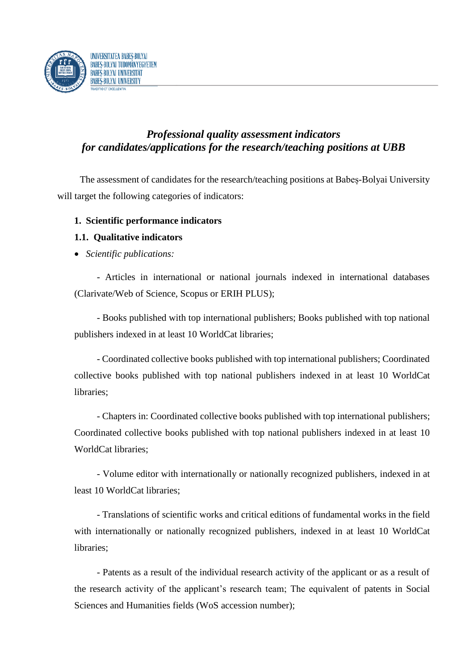

# *Professional quality assessment indicators for candidates/applications for the research/teaching positions at UBB*

The assessment of candidates for the research/teaching positions at Babeș-Bolyai University will target the following categories of indicators:

# **1. Scientific performance indicators**

# **1.1. Qualitative indicators**

*Scientific publications:* 

- Articles in international or national journals indexed in international databases (Clarivate/Web of Science, Scopus or ERIH PLUS);

- Books published with top international publishers; Books published with top national publishers indexed in at least 10 WorldCat libraries;

- Coordinated collective books published with top international publishers; Coordinated collective books published with top national publishers indexed in at least 10 WorldCat libraries;

- Chapters in: Coordinated collective books published with top international publishers; Coordinated collective books published with top national publishers indexed in at least 10 WorldCat libraries;

- Volume editor with internationally or nationally recognized publishers, indexed in at least 10 WorldCat libraries;

- Translations of scientific works and critical editions of fundamental works in the field with internationally or nationally recognized publishers, indexed in at least 10 WorldCat libraries;

- Patents as a result of the individual research activity of the applicant or as a result of the research activity of the applicant's research team; The equivalent of patents in Social Sciences and Humanities fields (WoS accession number);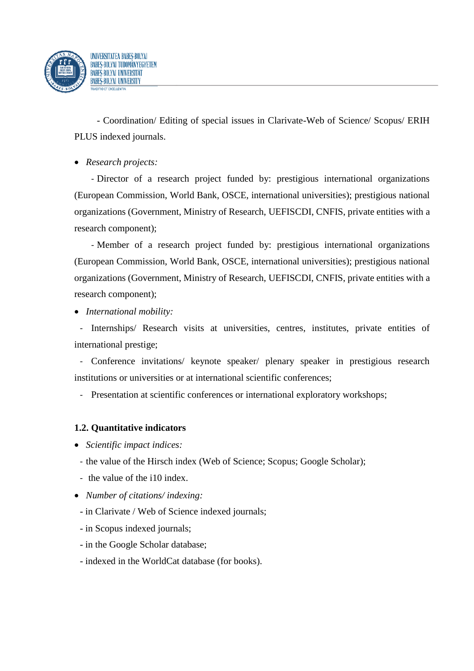

- Coordination/ Editing of special issues in Clarivate-Web of Science/ Scopus/ ERIH PLUS indexed journals.

### *Research projects:*

- Director of a research project funded by: prestigious international organizations (European Commission, World Bank, OSCE, international universities); prestigious national organizations (Government, Ministry of Research, UEFISCDI, CNFIS, private entities with a research component);

- Member of a research project funded by: prestigious international organizations (European Commission, World Bank, OSCE, international universities); prestigious national organizations (Government, Ministry of Research, UEFISCDI, CNFIS, private entities with a research component);

*International mobility:*

- Internships/ Research visits at universities, centres, institutes, private entities of international prestige;

- Conference invitations/ keynote speaker/ plenary speaker in prestigious research institutions or universities or at international scientific conferences;

- Presentation at scientific conferences or international exploratory workshops;

## **1.2. Quantitative indicators**

- *Scientific impact indices:*
- the value of the Hirsch index (Web of Science; Scopus; Google Scholar);
- the value of the i10 index.
- *Number of citations/ indexing:* 
	- in Clarivate / Web of Science indexed journals;
	- in Scopus indexed journals;
	- in the Google Scholar database;
	- indexed in the WorldCat database (for books).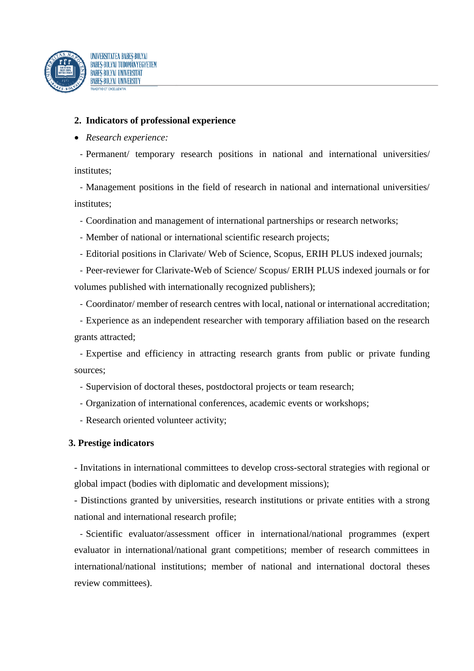

#### **2. Indicators of professional experience**

#### *Research experience:*

- Permanent/ temporary research positions in national and international universities/ institutes;

- Management positions in the field of research in national and international universities/ institutes;

- Coordination and management of international partnerships or research networks;
- Member of national or international scientific research projects;
- Editorial positions in Clarivate/ Web of Science, Scopus, ERIH PLUS indexed journals;

- Peer-reviewer for Clarivate-Web of Science/ Scopus/ ERIH PLUS indexed journals or for volumes published with internationally recognized publishers);

- Coordinator/ member of research centres with local, national or international accreditation;

- Experience as an independent researcher with temporary affiliation based on the research grants attracted;

- Expertise and efficiency in attracting research grants from public or private funding sources;

- Supervision of doctoral theses, postdoctoral projects or team research;
- Organization of international conferences, academic events or workshops;
- Research oriented volunteer activity;

#### **3. Prestige indicators**

- Invitations in international committees to develop cross-sectoral strategies with regional or global impact (bodies with diplomatic and development missions);

- Distinctions granted by universities, research institutions or private entities with a strong national and international research profile;

- Scientific evaluator/assessment officer in international/national programmes (expert evaluator in international/national grant competitions; member of research committees in international/national institutions; member of national and international doctoral theses review committees).